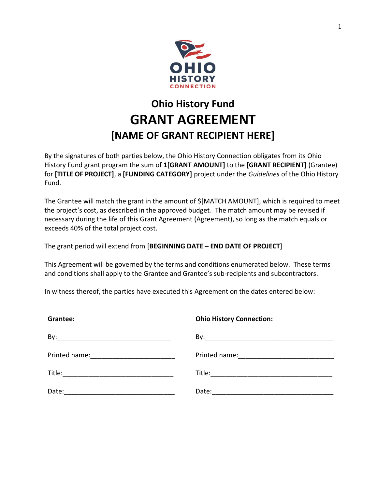

# **Ohio History Fund GRANT AGREEMENT [NAME OF GRANT RECIPIENT HERE]**

By the signatures of both parties below, the Ohio History Connection obligates from its Ohio History Fund grant program the sum of **1[GRANT AMOUNT]** to the **[GRANT RECIPIENT]** (Grantee) for **[TITLE OF PROJECT]**, a **[FUNDING CATEGORY]** project under the *Guidelines* of the Ohio History Fund.

The Grantee will match the grant in the amount of \$[MATCH AMOUNT], which is required to meet the project's cost, as described in the approved budget. The match amount may be revised if necessary during the life of this Grant Agreement (Agreement), so long as the match equals or exceeds 40% of the total project cost.

The grant period will extend from [**BEGINNING DATE – END DATE OF PROJECT**]

This Agreement will be governed by the terms and conditions enumerated below. These terms and conditions shall apply to the Grantee and Grantee's sub-recipients and subcontractors.

In witness thereof, the parties have executed this Agreement on the dates entered below:

| Grantee: | <b>Ohio History Connection:</b> |
|----------|---------------------------------|
|          |                                 |
|          |                                 |
|          |                                 |
|          |                                 |
|          |                                 |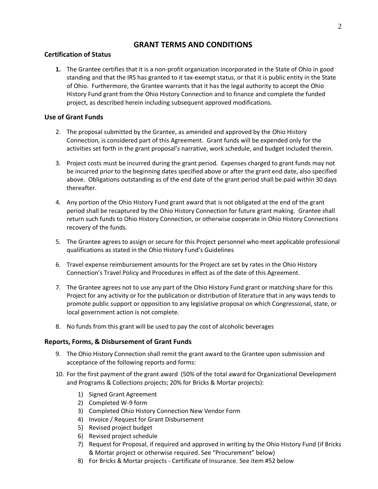# **GRANT TERMS AND CONDITIONS**

# **Certification of Status**

**1.** The Grantee certifies that it is a non-profit organization incorporated in the State of Ohio in good standing and that the IRS has granted to it tax-exempt status, or that it is public entity in the State of Ohio. Furthermore, the Grantee warrants that it has the legal authority to accept the Ohio History Fund grant from the Ohio History Connection and to finance and complete the funded project, as described herein including subsequent approved modifications.

# **Use of Grant Funds**

- 2. The proposal submitted by the Grantee, as amended and approved by the Ohio History Connection, is considered part of this Agreement. Grant funds will be expended only for the activities set forth in the grant proposal's narrative, work schedule, and budget included therein.
- 3. Project costs must be incurred during the grant period. Expenses charged to grant funds may not be incurred prior to the beginning dates specified above or after the grant end date, also specified above. Obligations outstanding as of the end date of the grant period shall be paid within 30 days thereafter.
- 4. Any portion of the Ohio History Fund grant award that is not obligated at the end of the grant period shall be recaptured by the Ohio History Connection for future grant making. Grantee shall return such funds to Ohio History Connection, or otherwise cooperate in Ohio History Connections recovery of the funds.
- 5. The Grantee agrees to assign or secure for this Project personnel who meet applicable professional qualifications as stated in the Ohio History Fund's Guidelines
- 6. Travel expense reimbursement amounts for the Project are set by rates in the Ohio History Connection's Travel Policy and Procedures in effect as of the date of this Agreement.
- 7. The Grantee agrees not to use any part of the Ohio History Fund grant or matching share for this Project for any activity or for the publication or distribution of literature that in any ways tends to promote public support or opposition to any legislative proposal on which Congressional, state, or local government action is not complete.
- 8. No funds from this grant will be used to pay the cost of alcoholic beverages

# **Reports, Forms, & Disbursement of Grant Funds**

- 9. The Ohio History Connection shall remit the grant award to the Grantee upon submission and acceptance of the following reports and forms:
- 10. For the first payment of the grant award (50% of the total award for Organizational Development and Programs & Collections projects; 20% for Bricks & Mortar projects):
	- 1) Signed Grant Agreement
	- 2) Completed W-9 form
	- 3) Completed Ohio History Connection New Vendor Form
	- 4) Invoice / Request for Grant Disbursement
	- 5) Revised project budget
	- 6) Revised project schedule
	- 7) Request for Proposal, if required and approved in writing by the Ohio History Fund (if Bricks & Mortar project or otherwise required. See "Procurement" below)
	- 8) For Bricks & Mortar projects Certificate of Insurance. See item #52 below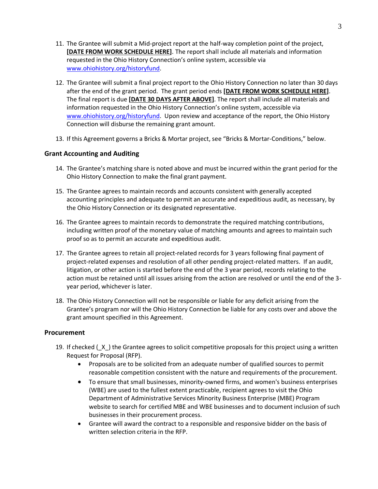- 11. The Grantee will submit a Mid-project report at the half-way completion point of the project, **[DATE FROM WORK SCHEDULE HERE]**. The report shall include all materials and information requested in the Ohio History Connection's online system, accessible via [www.ohiohistory.org/historyfund.](http://www.ohiohistory.org/historyfund)
- 12. The Grantee will submit a final project report to the Ohio History Connection no later than 30 days after the end of the grant period. The grant period ends **[DATE FROM WORK SCHEDULE HERE]**. The final report is due **[DATE 30 DAYS AFTER ABOVE]**. The report shall include all materials and information requested in the Ohio History Connection's online system, accessible via [www.ohiohistory.org/historyfund.](http://www.ohiohistory.org/historyfund) Upon review and acceptance of the report, the Ohio History Connection will disburse the remaining grant amount.
- 13. If this Agreement governs a Bricks & Mortar project, see "Bricks & Mortar-Conditions," below.

# **Grant Accounting and Auditing**

- 14. The Grantee's matching share is noted above and must be incurred within the grant period for the Ohio History Connection to make the final grant payment.
- 15. The Grantee agrees to maintain records and accounts consistent with generally accepted accounting principles and adequate to permit an accurate and expeditious audit, as necessary, by the Ohio History Connection or its designated representative.
- 16. The Grantee agrees to maintain records to demonstrate the required matching contributions, including written proof of the monetary value of matching amounts and agrees to maintain such proof so as to permit an accurate and expeditious audit.
- 17. The Grantee agrees to retain all project-related records for 3 years following final payment of project-related expenses and resolution of all other pending project-related matters. If an audit, litigation, or other action is started before the end of the 3 year period, records relating to the action must be retained until all issues arising from the action are resolved or until the end of the 3 year period, whichever is later.
- 18. The Ohio History Connection will not be responsible or liable for any deficit arising from the Grantee's program nor will the Ohio History Connection be liable for any costs over and above the grant amount specified in this Agreement.

# **Procurement**

- 19. If checked  $(X)$  the Grantee agrees to solicit competitive proposals for this project using a written Request for Proposal (RFP).
	- Proposals are to be solicited from an adequate number of qualified sources to permit reasonable competition consistent with the nature and requirements of the procurement.
	- To ensure that small businesses, minority-owned firms, and women's business enterprises (WBE) are used to the fullest extent practicable, recipient agrees to visit the Ohio Department of Administrative Services Minority Business Enterprise (MBE) Program website to search for certified MBE and WBE businesses and to document inclusion of such businesses in their procurement process.
	- Grantee will award the contract to a responsible and responsive bidder on the basis of written selection criteria in the RFP.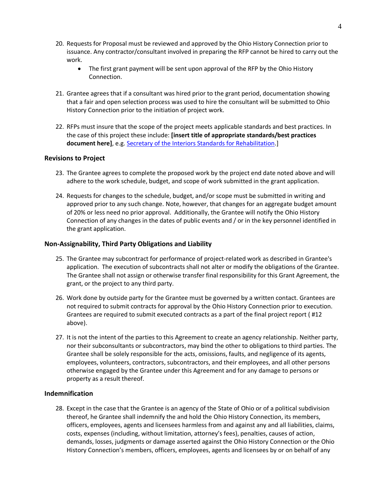- 20. Requests for Proposal must be reviewed and approved by the Ohio History Connection prior to issuance. Any contractor/consultant involved in preparing the RFP cannot be hired to carry out the work.
	- The first grant payment will be sent upon approval of the RFP by the Ohio History Connection.
- 21. Grantee agrees that if a consultant was hired prior to the grant period, documentation showing that a fair and open selection process was used to hire the consultant will be submitted to Ohio History Connection prior to the initiation of project work.
- 22. RFPs must insure that the scope of the project meets applicable standards and best practices. In the case of this project these include: **[insert title of appropriate standards/best practices document here]**, e.g[. Secretary of the Interiors Standards for Rehabilitation.](https://www.nps.gov/tps/standards/four-treatments/treatment-rehabilitation.htm)]

# **Revisions to Project**

- 23. The Grantee agrees to complete the proposed work by the project end date noted above and will adhere to the work schedule, budget, and scope of work submitted in the grant application.
- 24. Requests for changes to the schedule, budget, and/or scope must be submitted in writing and approved prior to any such change. Note, however, that changes for an aggregate budget amount of 20% or less need no prior approval. Additionally, the Grantee will notify the Ohio History Connection of any changes in the dates of public events and / or in the key personnel identified in the grant application.

# **Non-Assignability, Third Party Obligations and Liability**

- 25. The Grantee may subcontract for performance of project-related work as described in Grantee's application. The execution of subcontracts shall not alter or modify the obligations of the Grantee. The Grantee shall not assign or otherwise transfer final responsibility for this Grant Agreement, the grant, or the project to any third party.
- 26. Work done by outside party for the Grantee must be governed by a written contact. Grantees are not required to submit contracts for approval by the Ohio History Connection prior to execution. Grantees are required to submit executed contracts as a part of the final project report ( #12 above).
- 27. It is not the intent of the parties to this Agreement to create an agency relationship. Neither party, nor their subconsultants or subcontractors, may bind the other to obligations to third parties. The Grantee shall be solely responsible for the acts, omissions, faults, and negligence of its agents, employees, volunteers, contractors, subcontractors, and their employees, and all other persons otherwise engaged by the Grantee under this Agreement and for any damage to persons or property as a result thereof.

# **Indemnification**

28. Except in the case that the Grantee is an agency of the State of Ohio or of a political subdivision thereof, he Grantee shall indemnify the and hold the Ohio History Connection, its members, officers, employees, agents and licensees harmless from and against any and all liabilities, claims, costs, expenses (including, without limitation, attorney's fees), penalties, causes of action, demands, losses, judgments or damage asserted against the Ohio History Connection or the Ohio History Connection's members, officers, employees, agents and licensees by or on behalf of any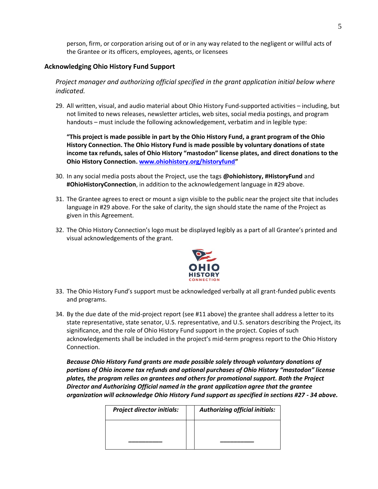person, firm, or corporation arising out of or in any way related to the negligent or willful acts of the Grantee or its officers, employees, agents, or licensees

# **Acknowledging Ohio History Fund Support**

*Project manager and authorizing official specified in the grant application initial below where indicated.*

29. All written, visual, and audio material about Ohio History Fund-supported activities – including, but not limited to news releases, newsletter articles, web sites, social media postings, and program handouts – must include the following acknowledgement, verbatim and in legible type:

**"This project is made possible in part by the Ohio History Fund, a grant program of the Ohio History Connection. The Ohio History Fund is made possible by voluntary donations of state income tax refunds, sales of Ohio History "mastodon" license plates, and direct donations to the Ohio History Connection[. www.ohiohistory.org/historyfund](http://www.ohiohistory.org/historyfund)"** 

- 30. In any social media posts about the Project, use the tags **@ohiohistory, #HistoryFund** and **#OhioHistoryConnection**, in addition to the acknowledgement language in #29 above.
- 31. The Grantee agrees to erect or mount a sign visible to the public near the project site that includes language in #29 above. For the sake of clarity, the sign should state the name of the Project as given in this Agreement.
- 32. The Ohio History Connection's logo must be displayed legibly as a part of all Grantee's printed and visual acknowledgements of the grant.



- 33. The Ohio History Fund's support must be acknowledged verbally at all grant-funded public events and programs.
- 34. By the due date of the mid-project report (see #11 above) the grantee shall address a letter to its state representative, state senator, U.S. representative, and U.S. senators describing the Project, its significance, and the role of Ohio History Fund support in the project. Copies of such acknowledgements shall be included in the project's mid-term progress report to the Ohio History Connection.

*Because Ohio History Fund grants are made possible solely through voluntary donations of portions of Ohio income tax refunds and optional purchases of Ohio History "mastodon" license plates, the program relies on grantees and others for promotional support. Both the Project Director and Authorizing Official named in the grant application agree that the grantee organization will acknowledge Ohio History Fund support as specified in sections #27 - 34 above.* 

| <b>Project director initials:</b> | <b>Authorizing official initials:</b> |
|-----------------------------------|---------------------------------------|
|                                   |                                       |
|                                   |                                       |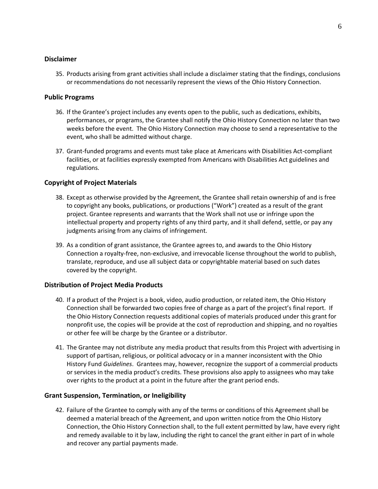# **Disclaimer**

35. Products arising from grant activities shall include a disclaimer stating that the findings, conclusions or recommendations do not necessarily represent the views of the Ohio History Connection.

#### **Public Programs**

- 36. If the Grantee's project includes any events open to the public, such as dedications, exhibits, performances, or programs, the Grantee shall notify the Ohio History Connection no later than two weeks before the event. The Ohio History Connection may choose to send a representative to the event, who shall be admitted without charge.
- 37. Grant-funded programs and events must take place at Americans with Disabilities Act-compliant facilities, or at facilities expressly exempted from Americans with Disabilities Act guidelines and regulations.

# **Copyright of Project Materials**

- 38. Except as otherwise provided by the Agreement, the Grantee shall retain ownership of and is free to copyright any books, publications, or productions ("Work") created as a result of the grant project. Grantee represents and warrants that the Work shall not use or infringe upon the intellectual property and property rights of any third party, and it shall defend, settle, or pay any judgments arising from any claims of infringement.
- 39. As a condition of grant assistance, the Grantee agrees to, and awards to the Ohio History Connection a royalty-free, non-exclusive, and irrevocable license throughout the world to publish, translate, reproduce, and use all subject data or copyrightable material based on such dates covered by the copyright.

# **Distribution of Project Media Products**

- 40. If a product of the Project is a book, video, audio production, or related item, the Ohio History Connection shall be forwarded two copies free of charge as a part of the project's final report. If the Ohio History Connection requests additional copies of materials produced under this grant for nonprofit use, the copies will be provide at the cost of reproduction and shipping, and no royalties or other fee will be charge by the Grantee or a distributor.
- 41. The Grantee may not distribute any media product that results from this Project with advertising in support of partisan, religious, or political advocacy or in a manner inconsistent with the Ohio History Fund *Guidelines*. Grantees may, however, recognize the support of a commercial products or services in the media product's credits. These provisions also apply to assignees who may take over rights to the product at a point in the future after the grant period ends.

# **Grant Suspension, Termination, or Ineligibility**

42. Failure of the Grantee to comply with any of the terms or conditions of this Agreement shall be deemed a material breach of the Agreement, and upon written notice from the Ohio History Connection, the Ohio History Connection shall, to the full extent permitted by law, have every right and remedy available to it by law, including the right to cancel the grant either in part of in whole and recover any partial payments made.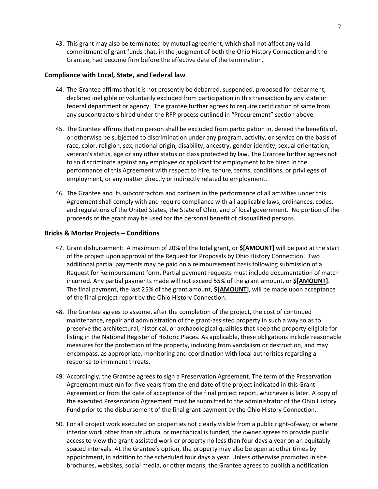43. This grant may also be terminated by mutual agreement, which shall not affect any valid commitment of grant funds that, in the judgment of both the Ohio History Connection and the Grantee, had become firm before the effective date of the termination.

# **Compliance with Local, State, and Federal law**

- 44. The Grantee affirms that it is not presently be debarred, suspended, proposed for debarment, declared ineligible or voluntarily excluded from participation in this transaction by any state or federal department or agency. The grantee further agrees to require certification of same from any subcontractors hired under the RFP process outlined in "Procurement" section above.
- 45. The Grantee affirms that no person shall be excluded from participation in, denied the benefits of, or otherwise be subjected to discrimination under any program, activity, or service on the basis of race, color, religion, sex, national origin, disability, ancestry, gender identity, sexual orientation, veteran's status, age or any other status or class protected by law. The Grantee further agrees not to so discriminate against any employee or applicant for employment to be hired in the performance of this Agreement with respect to hire, tenure, terms, conditions, or privileges of employment, or any matter directly or indirectly related to employment.
- 46. The Grantee and its subcontractors and partners in the performance of all activities under this Agreement shall comply with and require compliance with all applicable laws, ordinances, codes, and regulations of the United States, the State of Ohio, and of local government. No portion of the proceeds of the grant may be used for the personal benefit of disqualified persons.

#### **Bricks & Mortar Projects – Conditions**

- 47. Grant disbursement: A maximum of 20% of the total grant, or **\$[AMOUNT]** will be paid at the start of the project upon approval of the Request for Proposals by Ohio History Connection. Two additional partial payments may be paid on a reimbursement basis following submission of a Request for Reimbursement form. Partial payment requests must include documentation of match incurred. Any partial payments made will not exceed 55% of the grant amount, or **\$[AMOUNT]**. The final payment, the last 25% of the grant amount, **\$[AMOUNT]**, will be made upon acceptance of the final project report by the Ohio History Connection. .
- 48. The Grantee agrees to assume, after the completion of the project, the cost of continued maintenance, repair and administration of the grant-assisted property in such a way so as to preserve the architectural, historical, or archaeological qualities that keep the property eligible for listing in the National Register of Historic Places. As applicable, these obligations include reasonable measures for the protection of the property, including from vandalism or destruction, and may encompass, as appropriate, monitoring and coordination with local authorities regarding a response to imminent threats.
- 49. Accordingly, the Grantee agrees to sign a Preservation Agreement. The term of the Preservation Agreement must run for five years from the end date of the project indicated in this Grant Agreement or from the date of acceptance of the final project report, whichever is later. A copy of the executed Preservation Agreement must be submitted to the administrator of the Ohio History Fund prior to the disbursement of the final grant payment by the Ohio History Connection.
- 50. For all project work executed on properties not clearly visible from a public right-of-way, or where interior work other than structural or mechanical is funded, the owner agrees to provide public access to view the grant-assisted work or property no less than four days a year on an equitably spaced intervals. At the Grantee's option, the property may also be open at other times by appointment, in addition to the scheduled four days a year. Unless otherwise promoted in site brochures, websites, social media, or other means, the Grantee agrees to publish a notification